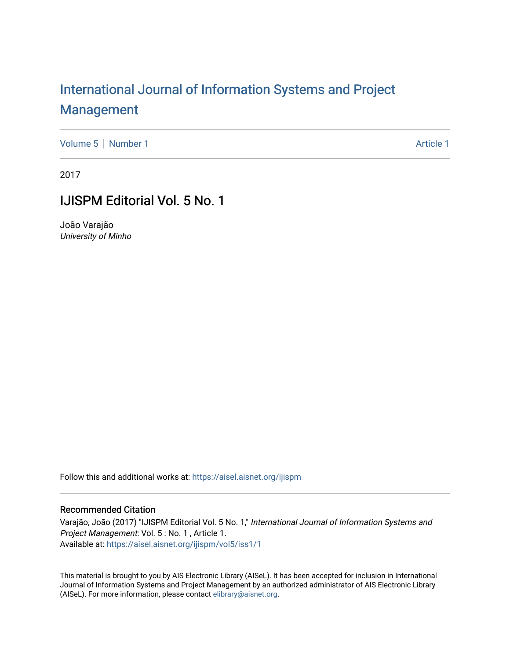## [International Journal of Information Systems and Project](https://aisel.aisnet.org/ijispm)  [Management](https://aisel.aisnet.org/ijispm)

[Volume 5](https://aisel.aisnet.org/ijispm/vol5) | [Number 1](https://aisel.aisnet.org/ijispm/vol5/iss1) Article 1

2017

### IJISPM Editorial Vol. 5 No. 1

João Varajão University of Minho

Follow this and additional works at: [https://aisel.aisnet.org/ijispm](https://aisel.aisnet.org/ijispm?utm_source=aisel.aisnet.org%2Fijispm%2Fvol5%2Fiss1%2F1&utm_medium=PDF&utm_campaign=PDFCoverPages) 

#### Recommended Citation

Varajão, João (2017) "IJISPM Editorial Vol. 5 No. 1," International Journal of Information Systems and Project Management: Vol. 5 : No. 1 , Article 1. Available at: [https://aisel.aisnet.org/ijispm/vol5/iss1/1](https://aisel.aisnet.org/ijispm/vol5/iss1/1?utm_source=aisel.aisnet.org%2Fijispm%2Fvol5%2Fiss1%2F1&utm_medium=PDF&utm_campaign=PDFCoverPages) 

This material is brought to you by AIS Electronic Library (AISeL). It has been accepted for inclusion in International Journal of Information Systems and Project Management by an authorized administrator of AIS Electronic Library (AISeL). For more information, please contact [elibrary@aisnet.org](mailto:elibrary@aisnet.org%3E).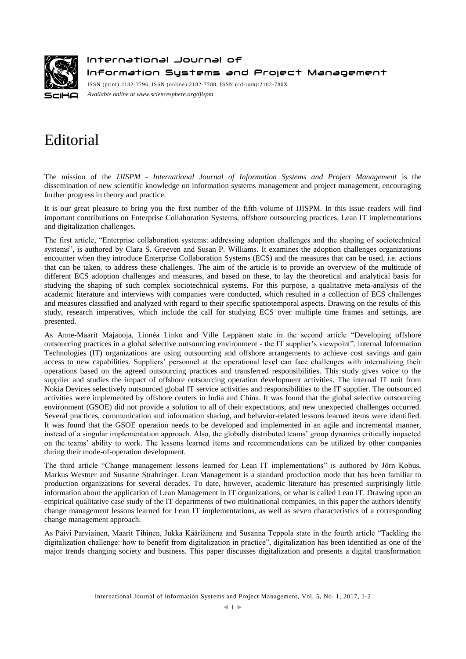

International Journal of Information Systems and Project Management

ISSN (print):2182-7796, ISSN (online):2182-7788, ISSN (cd-rom):2182-780X *Available online a[t www.sciencesphere.org/ijispm](http://www.sciencesphere.org/ijispm)*

# Editorial

The mission of the *IJISPM - International Journal of Information Systems and Project Management* is the dissemination of new scientific knowledge on information systems management and project management, encouraging further progress in theory and practice.

It is our great pleasure to bring you the first number of the fifth volume of IJISPM. In this issue readers will find important contributions on Enterprise Collaboration Systems, offshore outsourcing practices, Lean IT implementations and digitalization challenges.

The first article, "Enterprise collaboration systems: addressing adoption challenges and the shaping of sociotechnical systems", is authored by Clara S. Greeven and Susan P. Williams. It examines the adoption challenges organizations encounter when they introduce Enterprise Collaboration Systems (ECS) and the measures that can be used, i.e. actions that can be taken, to address these challenges. The aim of the article is to provide an overview of the multitude of different ECS adoption challenges and measures, and based on these, to lay the theoretical and analytical basis for studying the shaping of such complex sociotechnical systems. For this purpose, a qualitative meta-analysis of the academic literature and interviews with companies were conducted, which resulted in a collection of ECS challenges and measures classified and analyzed with regard to their specific spatiotemporal aspects. Drawing on the results of this study, research imperatives, which include the call for studying ECS over multiple time frames and settings, are presented.

As Anne-Maarit Majanoja, Linnéa Linko and Ville Leppänen state in the second article "Developing offshore outsourcing practices in a global selective outsourcing environment - the IT supplier's viewpoint", internal Information Technologies (IT) organizations are using outsourcing and offshore arrangements to achieve cost savings and gain access to new capabilities. Suppliers' personnel at the operational level can face challenges with internalizing their operations based on the agreed outsourcing practices and transferred responsibilities. This study gives voice to the supplier and studies the impact of offshore outsourcing operation development activities. The internal IT unit from Nokia Devices selectively outsourced global IT service activities and responsibilities to the IT supplier. The outsourced activities were implemented by offshore centers in India and China. It was found that the global selective outsourcing environment (GSOE) did not provide a solution to all of their expectations, and new unexpected challenges occurred. Several practices, communication and information sharing, and behavior-related lessons learned items were identified. It was found that the GSOE operation needs to be developed and implemented in an agile and incremental manner, instead of a singular implementation approach. Also, the globally distributed teams' group dynamics critically impacted on the teams' ability to work. The lessons learned items and recommendations can be utilized by other companies during their mode-of-operation development.

The third article "Change management lessons learned for Lean IT implementations" is authored by Jörn Kobus, Markus Westner and Susanne Strahringer. Lean Management is a standard production mode that has been familiar to production organizations for several decades. To date, however, academic literature has presented surprisingly little information about the application of Lean Management in IT organizations, or what is called Lean IT. Drawing upon an empirical qualitative case study of the IT departments of two multinational companies, in this paper the authors identify change management lessons learned for Lean IT implementations, as well as seven characteristics of a corresponding change management approach.

As Päivi Parviainen, Maarit Tihinen, Jukka Kääriäinena and Susanna Teppola state in the fourth article "Tackling the digitalization challenge: how to benefit from digitalization in practice", digitalization has been identified as one of the major trends changing society and business. This paper discusses digitalization and presents a digital transformation